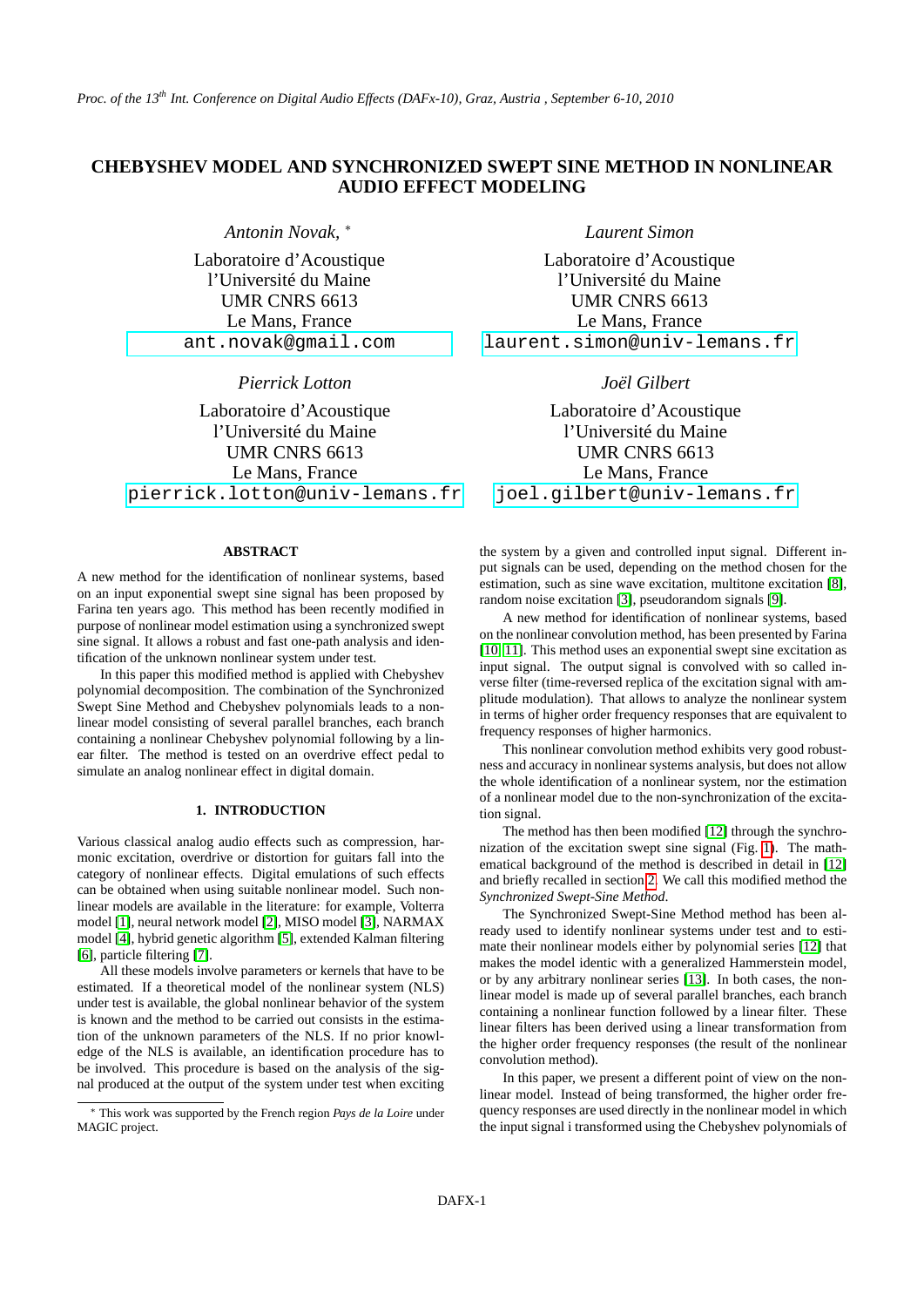# **CHEBYSHEV MODEL AND SYNCHRONIZED SWEPT SINE METHOD IN NONLINEAR AUDIO EFFECT MODELING**

*Antonin Novak,* <sup>∗</sup>

Laboratoire d'Acoustique l'Université du Maine UMR CNRS 6613 Le Mans, France [ant.novak@gmail.com](mailto:ant.novak@gmail.com)

*Pierrick Lotton*

Laboratoire d'Acoustique l'Université du Maine UMR CNRS 6613 Le Mans, France [pierrick.lotton@univ-lemans.fr](mailto:pierrick.lotton@univ-lemans.fr)

# **ABSTRACT**

A new method for the identification of nonlinear systems, based on an input exponential swept sine signal has been proposed by Farina ten years ago. This method has been recently modified in purpose of nonlinear model estimation using a synchronized swept sine signal. It allows a robust and fast one-path analysis and identification of the unknown nonlinear system under test.

In this paper this modified method is applied with Chebyshev polynomial decomposition. The combination of the Synchronized Swept Sine Method and Chebyshev polynomials leads to a nonlinear model consisting of several parallel branches, each branch containing a nonlinear Chebyshev polynomial following by a linear filter. The method is tested on an overdrive effect pedal to simulate an analog nonlinear effect in digital domain.

## **1. INTRODUCTION**

Various classical analog audio effects such as compression, harmonic excitation, overdrive or distortion for guitars fall into the category of nonlinear effects. Digital emulations of such effects can be obtained when using suitable nonlinear model. Such nonlinear models are available in the literature: for example, Volterra model [\[1\]](#page-3-0), neural network model [\[2\]](#page-3-1), MISO model [\[3\]](#page-3-2), NARMAX model [\[4\]](#page-3-3), hybrid genetic algorithm [\[5\]](#page-3-4), extended Kalman filtering [\[6\]](#page-3-5), particle filtering [\[7\]](#page-3-6).

All these models involve parameters or kernels that have to be estimated. If a theoretical model of the nonlinear system (NLS) under test is available, the global nonlinear behavior of the system is known and the method to be carried out consists in the estimation of the unknown parameters of the NLS. If no prior knowledge of the NLS is available, an identification procedure has to be involved. This procedure is based on the analysis of the signal produced at the output of the system under test when exciting *Laurent Simon*

Laboratoire d'Acoustique l'Université du Maine UMR CNRS 6613 Le Mans, France [laurent.simon@univ-lemans.fr](mailto:laurent.simon@univ-lemans.fr)

# *Joël Gilbert*

Laboratoire d'Acoustique l'Université du Maine UMR CNRS 6613 Le Mans, France [joel.gilbert@univ-lemans.fr](mailto:joel.gilbert@univ-lemans.fr)

the system by a given and controlled input signal. Different input signals can be used, depending on the method chosen for the estimation, such as sine wave excitation, multitone excitation [\[8\]](#page-3-7), random noise excitation [\[3\]](#page-3-2), pseudorandom signals [\[9\]](#page-3-8).

A new method for identification of nonlinear systems, based on the nonlinear convolution method, has been presented by Farina [\[10,](#page-3-9) [11\]](#page-3-10). This method uses an exponential swept sine excitation as input signal. The output signal is convolved with so called inverse filter (time-reversed replica of the excitation signal with amplitude modulation). That allows to analyze the nonlinear system in terms of higher order frequency responses that are equivalent to frequency responses of higher harmonics.

This nonlinear convolution method exhibits very good robustness and accuracy in nonlinear systems analysis, but does not allow the whole identification of a nonlinear system, nor the estimation of a nonlinear model due to the non-synchronization of the excitation signal.

The method has then been modified [\[12\]](#page-3-11) through the synchronization of the excitation swept sine signal (Fig. [1\)](#page-1-0). The mathematical background of the method is described in detail in [\[12\]](#page-3-11) and briefly recalled in section [2.](#page-1-1) We call this modified method the *Synchronized Swept-Sine Method*.

The Synchronized Swept-Sine Method method has been already used to identify nonlinear systems under test and to estimate their nonlinear models either by polynomial series [\[12\]](#page-3-11) that makes the model identic with a generalized Hammerstein model, or by any arbitrary nonlinear series [\[13\]](#page-3-12). In both cases, the nonlinear model is made up of several parallel branches, each branch containing a nonlinear function followed by a linear filter. These linear filters has been derived using a linear transformation from the higher order frequency responses (the result of the nonlinear convolution method).

In this paper, we present a different point of view on the nonlinear model. Instead of being transformed, the higher order frequency responses are used directly in the nonlinear model in which the input signal i transformed using the Chebyshev polynomials of

<sup>∗</sup> This work was supported by the French region *Pays de la Loire* under MAGIC project.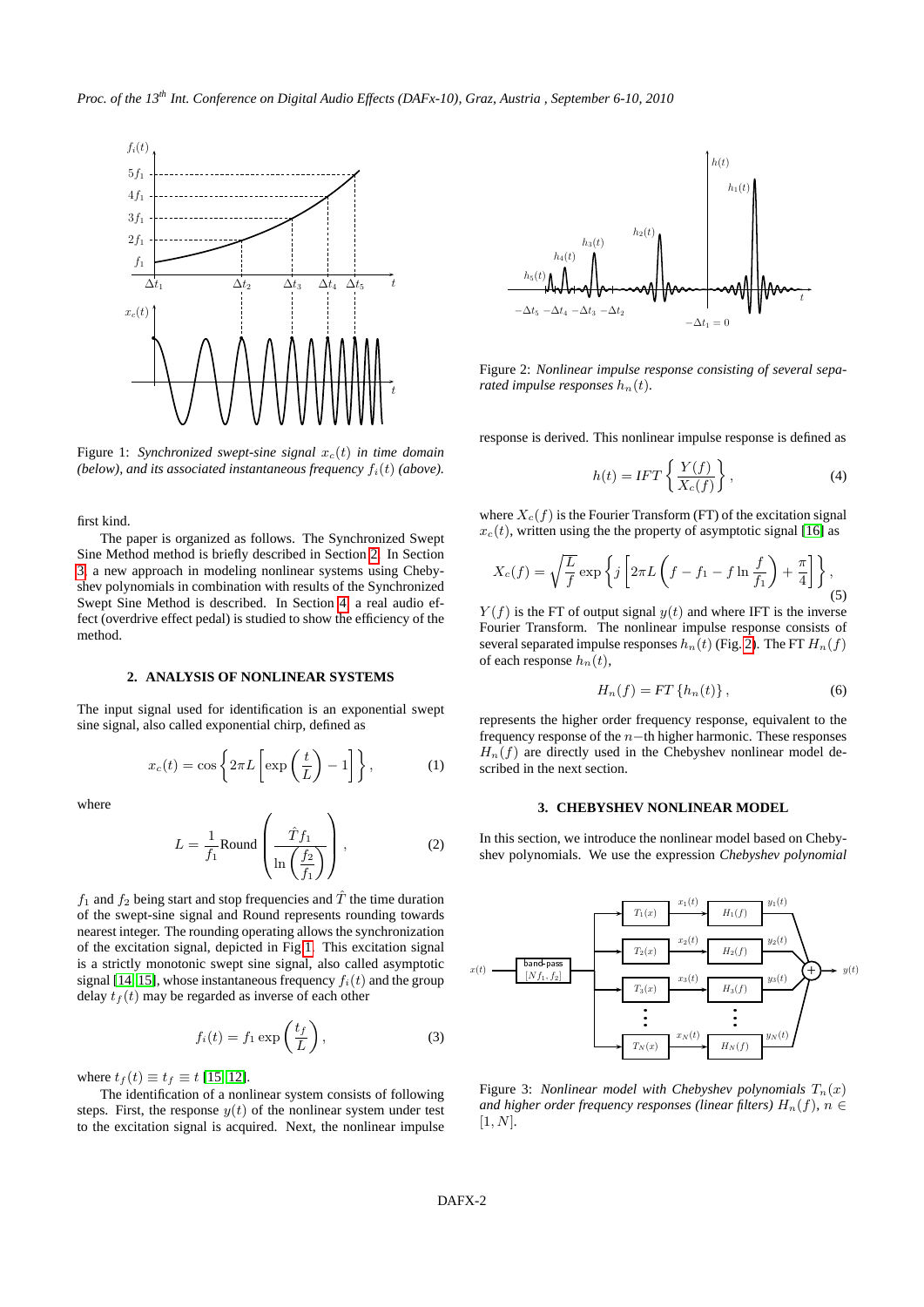

<span id="page-1-0"></span>Figure 1: *Synchronized swept-sine signal*  $x_c(t)$  *in time domain (below), and its associated instantaneous frequency*  $f_i(t)$  *(above).* 

first kind.

The paper is organized as follows. The Synchronized Swept Sine Method method is briefly described in Section [2.](#page-1-1) In Section [3,](#page-1-2) a new approach in modeling nonlinear systems using Chebyshev polynomials in combination with results of the Synchronized Swept Sine Method is described. In Section [4,](#page-2-0) a real audio effect (overdrive effect pedal) is studied to show the efficiency of the method.

## **2. ANALYSIS OF NONLINEAR SYSTEMS**

<span id="page-1-1"></span>The input signal used for identification is an exponential swept sine signal, also called exponential chirp, defined as

<span id="page-1-4"></span>
$$
x_c(t) = \cos\left\{2\pi L \left[\exp\left(\frac{t}{L}\right) - 1\right]\right\},\tag{1}
$$

where

$$
L = \frac{1}{f_1} \text{Round}\left(\frac{\hat{T}f_1}{\ln\left(\frac{f_2}{f_1}\right)}\right),\tag{2}
$$

 $f_1$  and  $f_2$  being start and stop frequencies and  $\hat{T}$  the time duration of the swept-sine signal and Round represents rounding towards nearest integer. The rounding operating allows the synchronization of the excitation signal, depicted in Fig[.1.](#page-1-0) This excitation signal is a strictly monotonic swept sine signal, also called asymptotic signal [\[14,](#page-3-13) [15\]](#page-3-14), whose instantaneous frequency  $f_i(t)$  and the group delay  $t_f(t)$  may be regarded as inverse of each other

$$
f_i(t) = f_1 \exp\left(\frac{t_f}{L}\right),\tag{3}
$$

where  $t_f(t) \equiv t_f \equiv t$  [\[15,](#page-3-14) [12\]](#page-3-11).

The identification of a nonlinear system consists of following steps. First, the response  $y(t)$  of the nonlinear system under test to the excitation signal is acquired. Next, the nonlinear impulse



<span id="page-1-3"></span>Figure 2: *Nonlinear impulse response consisting of several separated impulse responses*  $h_n(t)$ .

response is derived. This nonlinear impulse response is defined as

$$
h(t) = IFT\left\{\frac{Y(f)}{X_c(f)}\right\},\tag{4}
$$

where  $X_c(f)$  is the Fourier Transform (FT) of the excitation signal  $x_c(t)$ , written using the the property of asymptotic signal [\[16\]](#page-3-15) as

$$
X_c(f) = \sqrt{\frac{L}{f}} \exp\left\{j\left[2\pi L\left(f - f_1 - f \ln\frac{f}{f_1}\right) + \frac{\pi}{4}\right]\right\},\tag{5}
$$

 $Y(f)$  is the FT of output signal  $y(t)$  and where IFT is the inverse Fourier Transform. The nonlinear impulse response consists of several separated impulse responses  $h_n(t)$  (Fig. [2\)](#page-1-3). The FT  $H_n(f)$ of each response  $h_n(t)$ ,

$$
H_n(f) = FT\left\{h_n(t)\right\},\tag{6}
$$

represents the higher order frequency response, equivalent to the frequency response of the n−th higher harmonic. These responses  $H_n(f)$  are directly used in the Chebyshev nonlinear model described in the next section.

#### **3. CHEBYSHEV NONLINEAR MODEL**

<span id="page-1-2"></span>In this section, we introduce the nonlinear model based on Chebyshev polynomials. We use the expression *Chebyshev polynomial*



<span id="page-1-5"></span>Figure 3: *Nonlinear model with Chebyshev polynomials*  $T_n(x)$ *and higher order frequency responses (linear filters)*  $H_n(f)$ ,  $n \in$ [1, N]*.*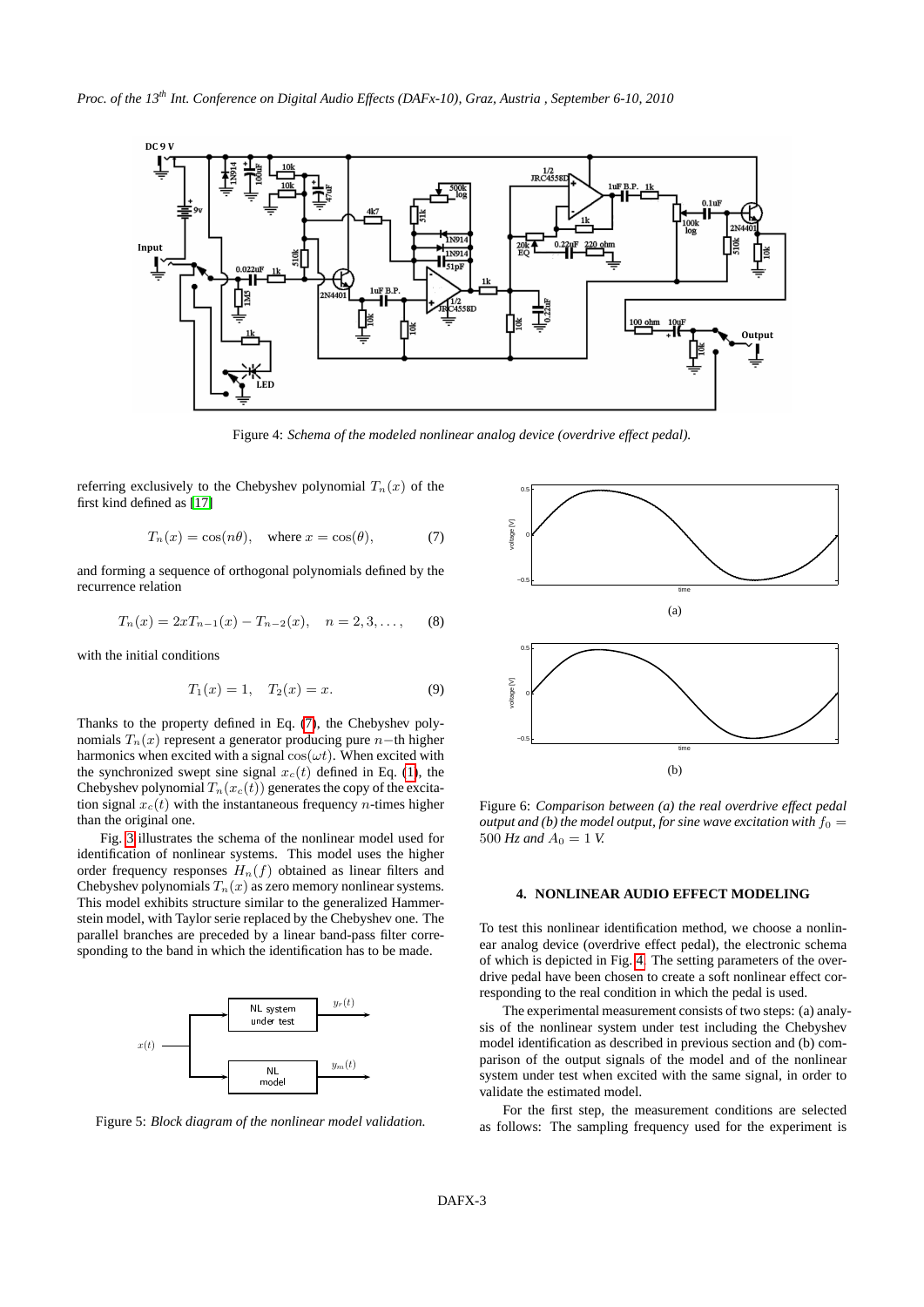

<span id="page-2-2"></span>Figure 4: *Schema of the modeled nonlinear analog device (overdrive effect pedal).*

referring exclusively to the Chebyshev polynomial  $T_n(x)$  of the first kind defined as [\[17\]](#page-3-16)

<span id="page-2-1"></span>
$$
T_n(x) = \cos(n\theta), \quad \text{where } x = \cos(\theta), \tag{7}
$$

and forming a sequence of orthogonal polynomials defined by the recurrence relation

$$
T_n(x) = 2xT_{n-1}(x) - T_{n-2}(x), \quad n = 2, 3, \dots,
$$
 (8)

with the initial conditions

$$
T_1(x) = 1, \quad T_2(x) = x. \tag{9}
$$

Thanks to the property defined in Eq. [\(7\)](#page-2-1), the Chebyshev polynomials  $T_n(x)$  represent a generator producing pure n−th higher harmonics when excited with a signal  $cos(\omega t)$ . When excited with the synchronized swept sine signal  $x_c(t)$  defined in Eq. [\(1\)](#page-1-4), the Chebyshev polynomial  $T_n(x_c(t))$  generates the copy of the excitation signal  $x_c(t)$  with the instantaneous frequency *n*-times higher than the original one.

Fig. [3](#page-1-5) illustrates the schema of the nonlinear model used for identification of nonlinear systems. This model uses the higher order frequency responses  $H_n(f)$  obtained as linear filters and Chebyshev polynomials  $T_n(x)$  as zero memory nonlinear systems. This model exhibits structure similar to the generalized Hammerstein model, with Taylor serie replaced by the Chebyshev one. The parallel branches are preceded by a linear band-pass filter corresponding to the band in which the identification has to be made.



<span id="page-2-3"></span>Figure 5: *Block diagram of the nonlinear model validation.*



<span id="page-2-4"></span>Figure 6: *Comparison between (a) the real overdrive effect pedal output and (b) the model output, for sine wave excitation with*  $f_0 =$ 500  $Hz$  and  $A_0 = 1$  V.

# <span id="page-2-0"></span>**4. NONLINEAR AUDIO EFFECT MODELING**

To test this nonlinear identification method, we choose a nonlinear analog device (overdrive effect pedal), the electronic schema of which is depicted in Fig. [4.](#page-2-2) The setting parameters of the overdrive pedal have been chosen to create a soft nonlinear effect corresponding to the real condition in which the pedal is used.

The experimental measurement consists of two steps: (a) analysis of the nonlinear system under test including the Chebyshev model identification as described in previous section and (b) comparison of the output signals of the model and of the nonlinear system under test when excited with the same signal, in order to validate the estimated model.

For the first step, the measurement conditions are selected as follows: The sampling frequency used for the experiment is